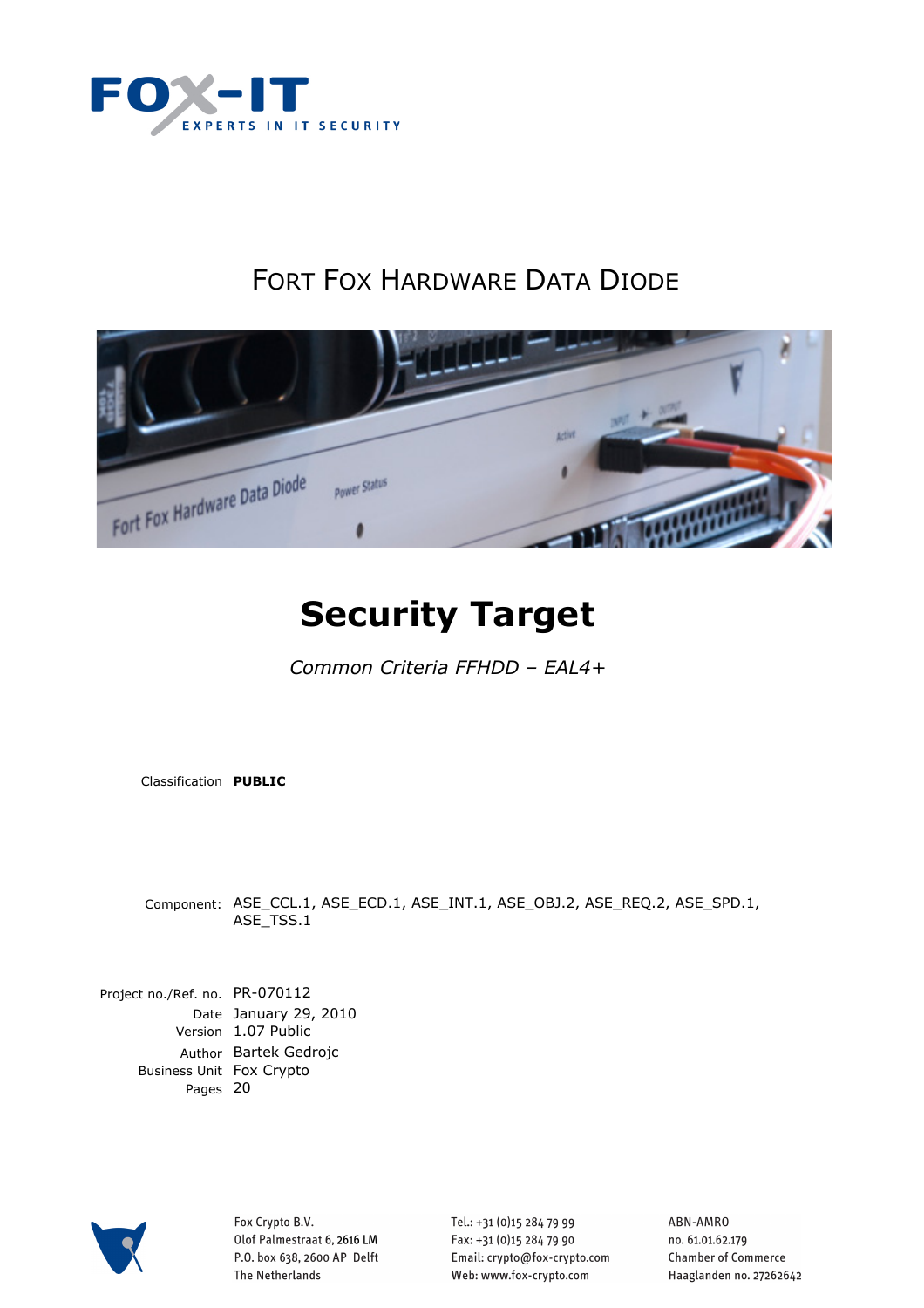

# FORT FOX HARDWARE DATA DIODE



# **Security Target**

*Common Criteria FFHDD – EAL4+*

Classification **PUBLIC**

Component: ASE\_CCL.1, ASE\_ECD.1, ASE\_INT.1, ASE\_OBJ.2, ASE\_REQ.2, ASE\_SPD.1, ASE\_TSS.1

Project no./Ref. no. PR-070112 Date January 29, 2010 Version 1.07 Public Author Bartek Gedrojc Business Unit Fox Crypto Pages 20



Fox Crypto B.V. Olof Palmestraat 6, 2616 LM P.O. box 638, 2600 AP Delft **The Netherlands** 

Tel.: +31 (0)15 284 79 99 Fax: +31 (0)15 284 79 90 Email: crypto@fox-crypto.com Web: www.fox-crypto.com

ABN-AMRO no. 61.01.62.179 **Chamber of Commerce** Haaglanden no. 27262642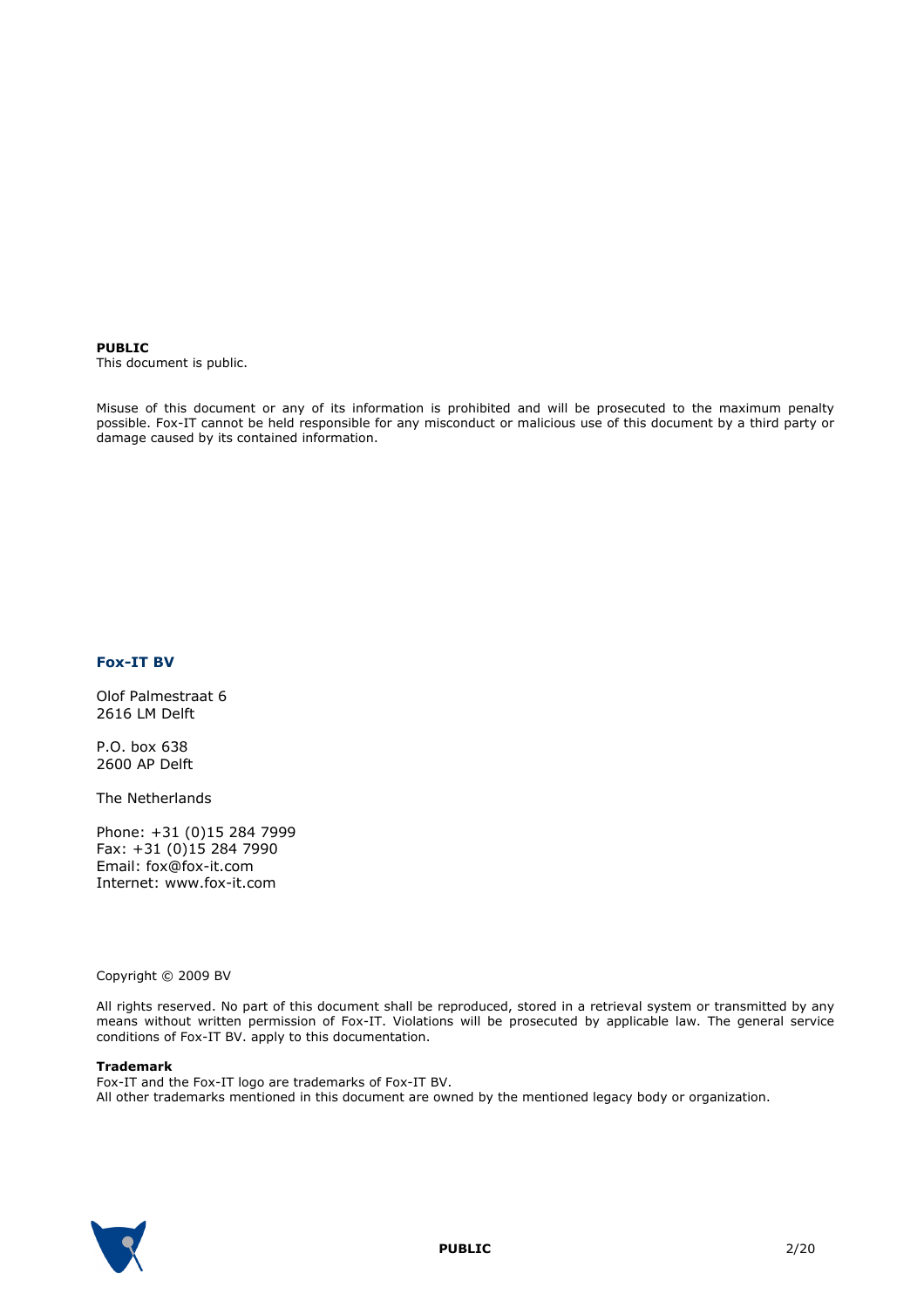**PUBLIC**

This document is public.

Misuse of this document or any of its information is prohibited and will be prosecuted to the maximum penalty possible. Fox-IT cannot be held responsible for any misconduct or malicious use of this document by a third party or damage caused by its contained information.

#### **Fox-IT BV**

Olof Palmestraat 6 2616 LM Delft

P.O. box 638 2600 AP Delft

The Netherlands

Phone: +31 (0)15 284 7999 Fax: +31 (0)15 284 7990 Email: fox@fox-it.com Internet: www.fox-it.com

#### Copyright © 2009 BV

All rights reserved. No part of this document shall be reproduced, stored in a retrieval system or transmitted by any means without written permission of Fox-IT. Violations will be prosecuted by applicable law. The general service conditions of Fox-IT BV. apply to this documentation.

#### **Trademark**

Fox-IT and the Fox-IT logo are trademarks of Fox-IT BV. All other trademarks mentioned in this document are owned by the mentioned legacy body or organization.

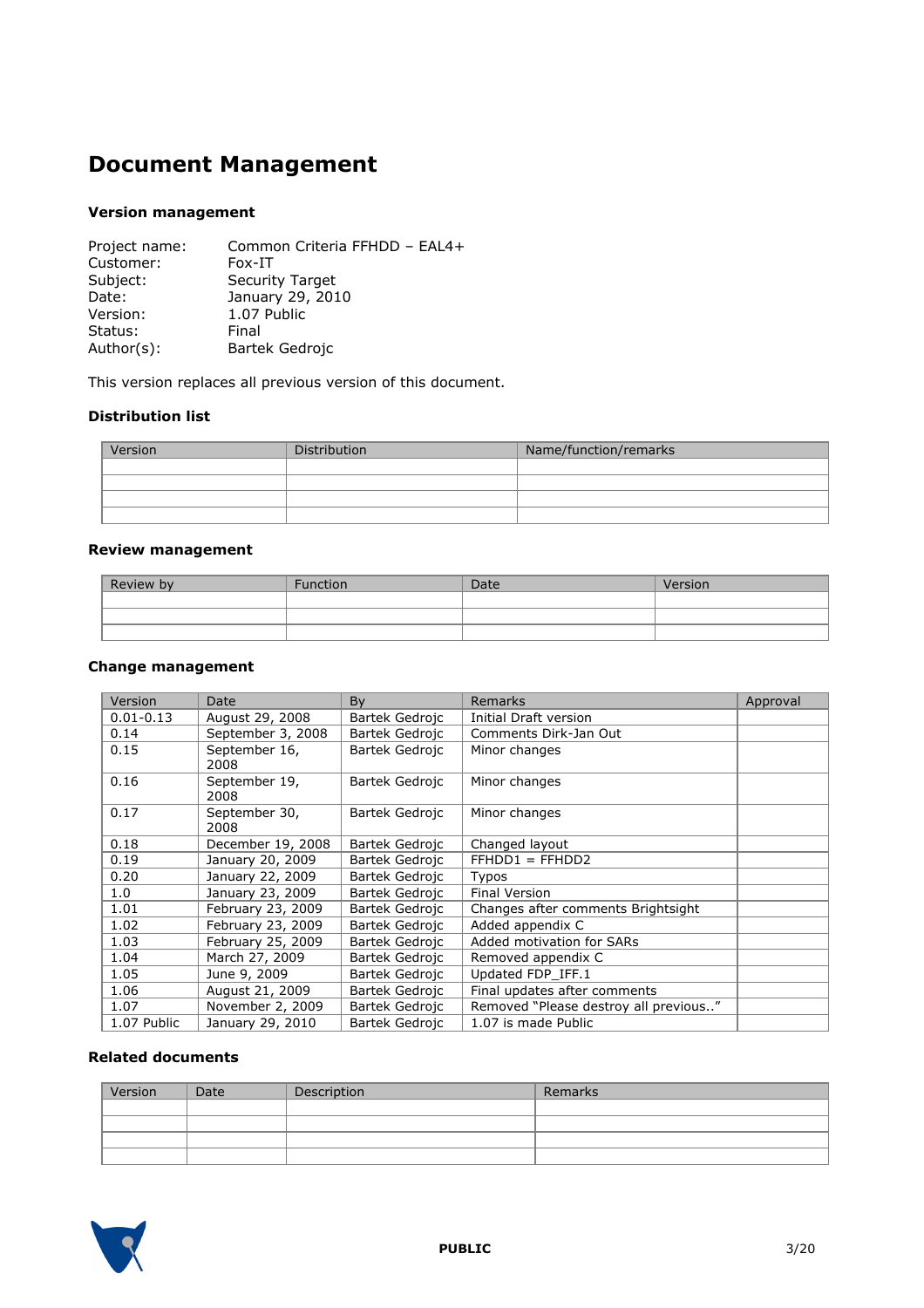# **Document Management**

#### **Version management**

| Project name: | Common Criteria FFHDD - EAL4+ |
|---------------|-------------------------------|
| Customer:     | Fox-IT                        |
| Subject:      | <b>Security Target</b>        |
| Date:         | January 29, 2010              |
| Version:      | 1.07 Public                   |
| Status:       | Final                         |
| Author(s):    | Bartek Gedrojc                |

This version replaces all previous version of this document.

#### **Distribution list**

| Version | <b>Distribution</b> | Name/function/remarks |
|---------|---------------------|-----------------------|
|         |                     |                       |
|         |                     |                       |
|         |                     |                       |
|         |                     |                       |

#### **Review management**

| Review by | Function | Date | Version |
|-----------|----------|------|---------|
|           |          |      |         |
|           |          |      |         |
|           |          |      |         |

#### **Change management**

| Version       | Date                  | By             | Remarks                               | Approval |
|---------------|-----------------------|----------------|---------------------------------------|----------|
| $0.01 - 0.13$ | August 29, 2008       | Bartek Gedrojc | Initial Draft version                 |          |
| 0.14          | September 3, 2008     | Bartek Gedrojc | Comments Dirk-Jan Out                 |          |
| 0.15          | September 16,<br>2008 | Bartek Gedrojc | Minor changes                         |          |
| 0.16          | September 19,<br>2008 | Bartek Gedrojc | Minor changes                         |          |
| 0.17          | September 30,<br>2008 | Bartek Gedrojc | Minor changes                         |          |
| 0.18          | December 19, 2008     | Bartek Gedrojc | Changed layout                        |          |
| 0.19          | January 20, 2009      | Bartek Gedrojc | $FFHDD1 = FFHDD2$                     |          |
| 0.20          | January 22, 2009      | Bartek Gedrojc | <b>Typos</b>                          |          |
| 1.0           | January 23, 2009      | Bartek Gedrojc | <b>Final Version</b>                  |          |
| 1.01          | February 23, 2009     | Bartek Gedrojc | Changes after comments Brightsight    |          |
| 1.02          | February 23, 2009     | Bartek Gedrojc | Added appendix C                      |          |
| 1.03          | February 25, 2009     | Bartek Gedrojc | Added motivation for SARs             |          |
| 1.04          | March 27, 2009        | Bartek Gedrojc | Removed appendix C                    |          |
| 1.05          | June 9, 2009          | Bartek Gedrojc | Updated FDP_IFF.1                     |          |
| 1.06          | August 21, 2009       | Bartek Gedrojc | Final updates after comments          |          |
| 1.07          | November 2, 2009      | Bartek Gedrojc | Removed "Please destroy all previous" |          |
| 1.07 Public   | January 29, 2010      | Bartek Gedrojc | 1.07 is made Public                   |          |

#### **Related documents**

| Version | Date | Description | Remarks |
|---------|------|-------------|---------|
|         |      |             |         |
|         |      |             |         |
|         |      |             |         |
|         |      |             |         |

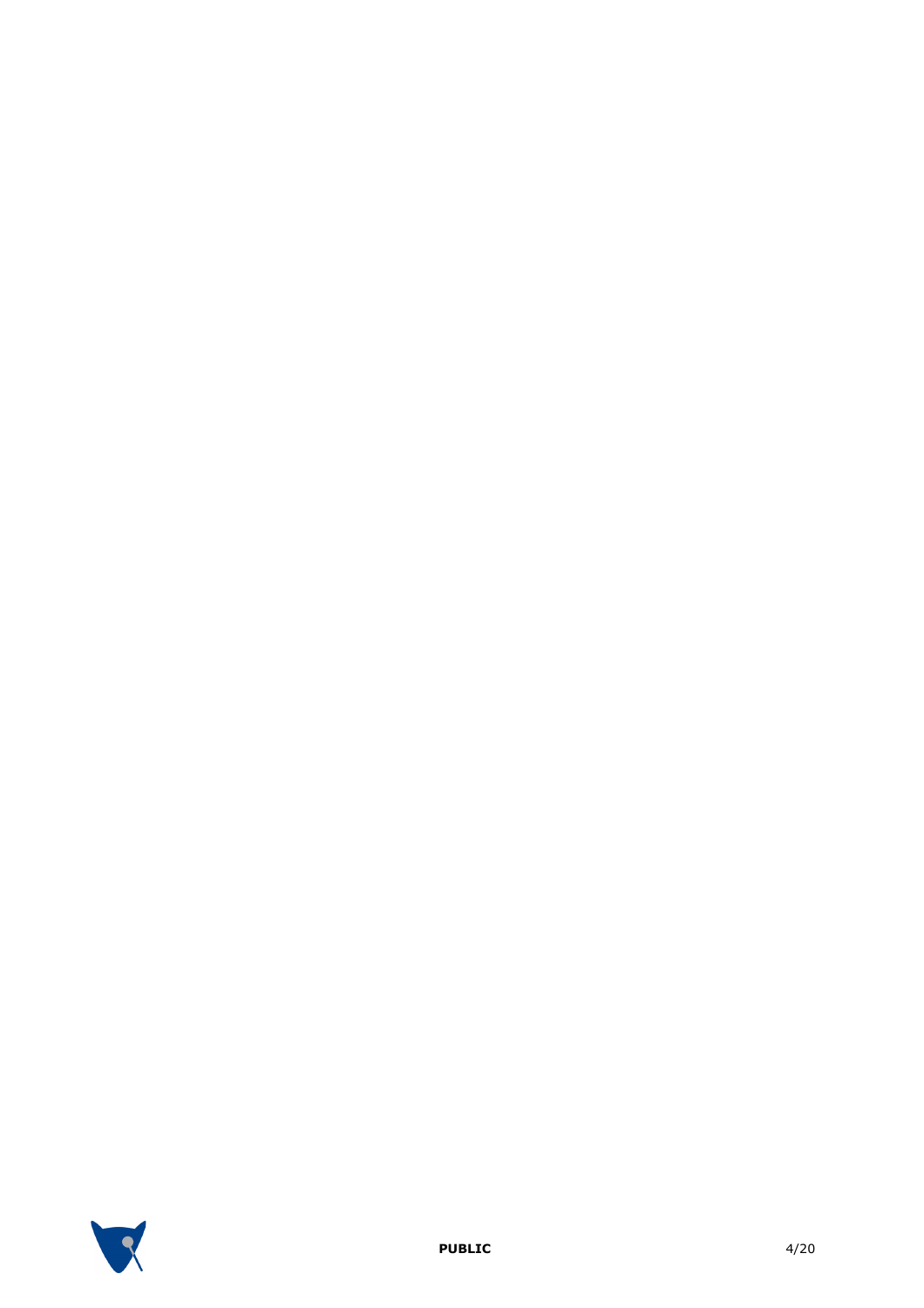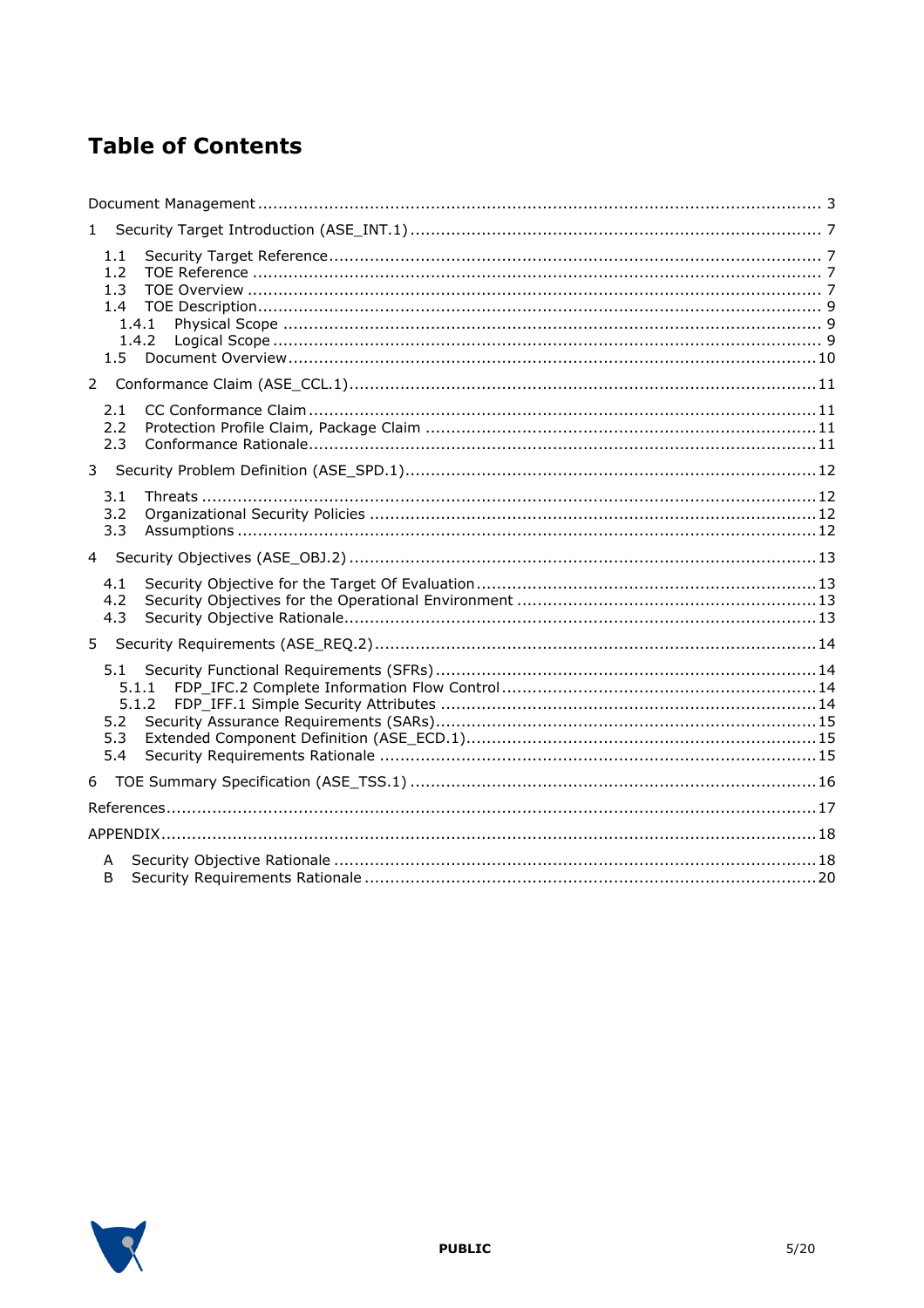# **Table of Contents**

| $\mathbf{1}$   |                                 |                |
|----------------|---------------------------------|----------------|
|                | 1.1<br>1.2<br>1.3<br>1.4<br>1.5 | 1.4.1<br>1.4.2 |
| $\overline{2}$ |                                 |                |
|                | 2.1<br>2.2<br>2.3               |                |
| 3              |                                 |                |
|                | 3.1<br>$3.2^{\circ}$<br>3.3     |                |
|                | $\overline{4}$                  |                |
|                | 4.1<br>4.2<br>4.3               |                |
| 5              |                                 |                |
|                | 5.1<br>5.2<br>5.3<br>5.4        | 5.1.1<br>5.1.2 |
| 6              |                                 |                |
|                |                                 |                |
|                |                                 |                |
|                | A<br>B                          |                |

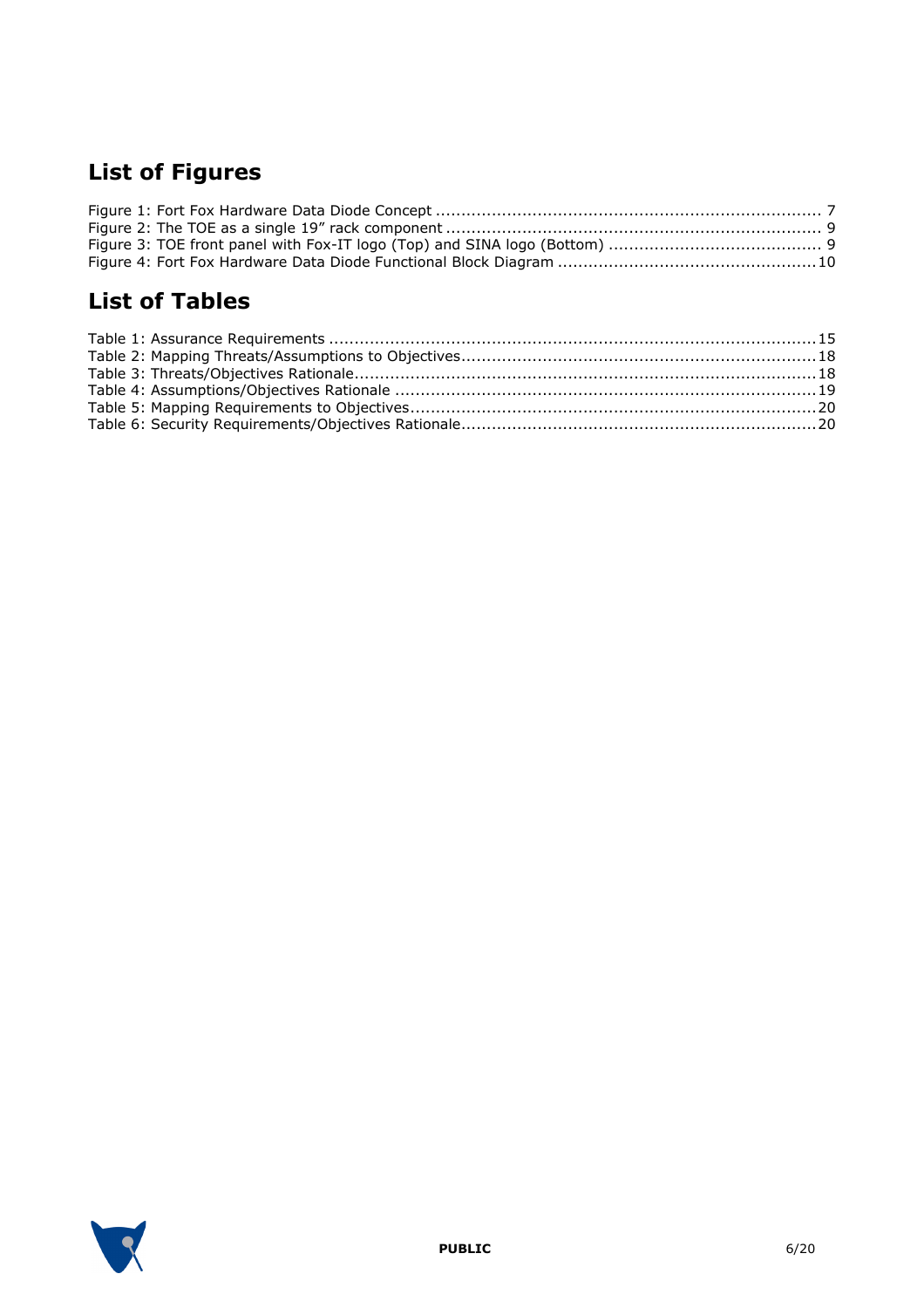# **List of Figures**

# **List of Tables**

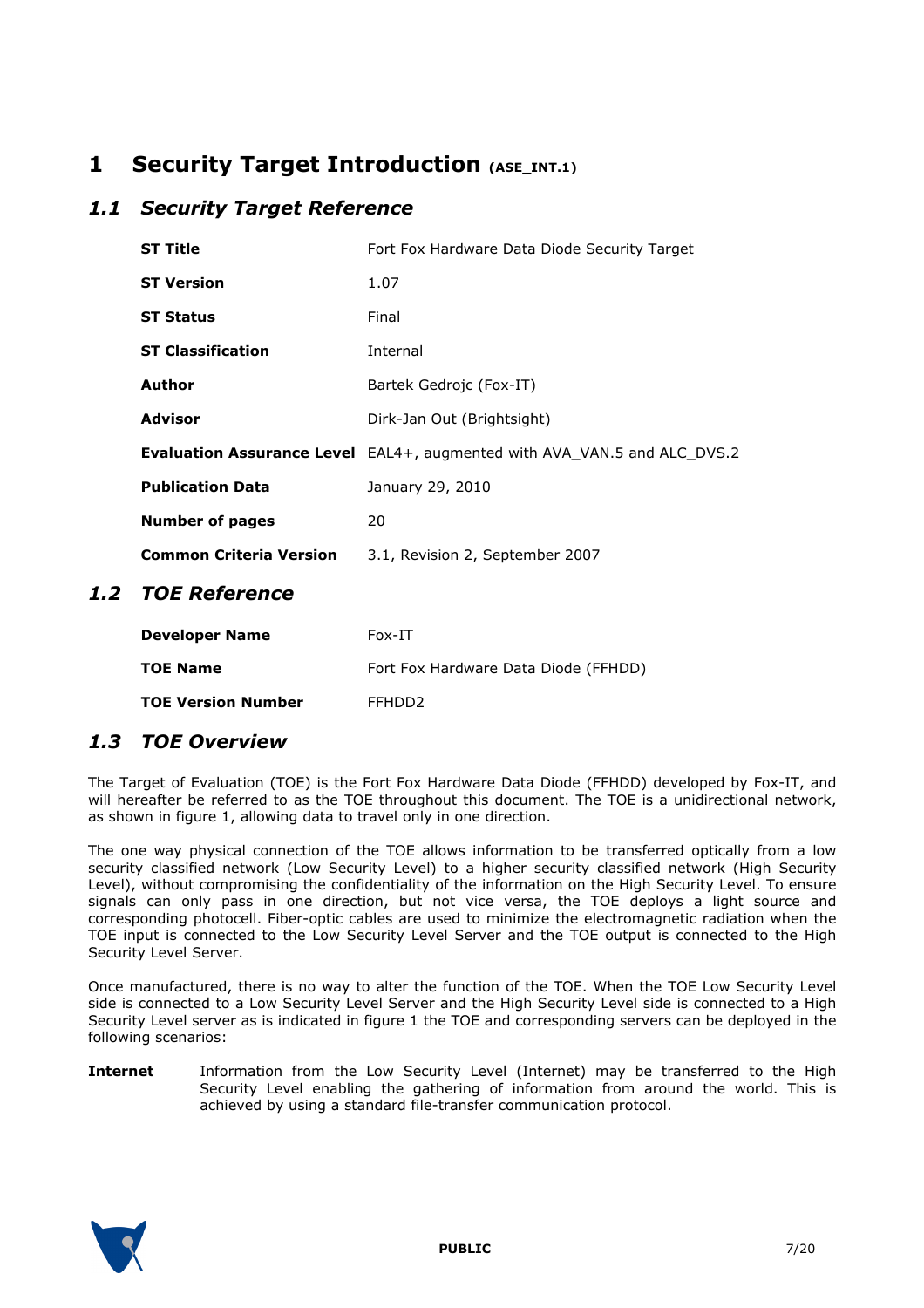### **1 Security Target Introduction** (ASE INT.1)

### *1.1 Security Target Reference*

| <b>ST Title</b>                | Fort Fox Hardware Data Diode Security Target                                    |
|--------------------------------|---------------------------------------------------------------------------------|
| <b>ST Version</b>              | 1.07                                                                            |
| <b>ST Status</b>               | Final                                                                           |
| <b>ST Classification</b>       | Internal                                                                        |
| Author                         | Bartek Gedrojc (Fox-IT)                                                         |
| <b>Advisor</b>                 | Dirk-Jan Out (Brightsight)                                                      |
|                                | <b>Evaluation Assurance Level</b> EAL4+, augmented with AVA_VAN.5 and ALC_DVS.2 |
| <b>Publication Data</b>        | January 29, 2010                                                                |
| <b>Number of pages</b>         | 20                                                                              |
| <b>Common Criteria Version</b> | 3.1, Revision 2, September 2007                                                 |
| <b>TOE Reference</b>           |                                                                                 |
| <b>Developer Name</b>          | Fox-IT                                                                          |

| TOE Name           | Fort Fox Hardware Data Diode (FFHDD) |
|--------------------|--------------------------------------|
| TOE Version Number | FFHDD <sub>2</sub>                   |

### *1.3 TOE Overview*

 $1.2$ 

The Target of Evaluation (TOE) is the Fort Fox Hardware Data Diode (FFHDD) developed by Fox-IT, and will hereafter be referred to as the TOE throughout this document. The TOE is a unidirectional network, as shown in figure 1, allowing data to travel only in one direction.

The one way physical connection of the TOE allows information to be transferred optically from a low security classified network (Low Security Level) to a higher security classified network (High Security Level), without compromising the confidentiality of the information on the High Security Level. To ensure signals can only pass in one direction, but not vice versa, the TOE deploys a light source and corresponding photocell. Fiber-optic cables are used to minimize the electromagnetic radiation when the TOE input is connected to the Low Security Level Server and the TOE output is connected to the High Security Level Server.

Once manufactured, there is no way to alter the function of the TOE. When the TOE Low Security Level side is connected to a Low Security Level Server and the High Security Level side is connected to a High Security Level server as is indicated in figure 1 the TOE and corresponding servers can be deployed in the following scenarios:

**Internet** Information from the Low Security Level (Internet) may be transferred to the High Security Level enabling the gathering of information from around the world. This is achieved by using a standard file-transfer communication protocol.

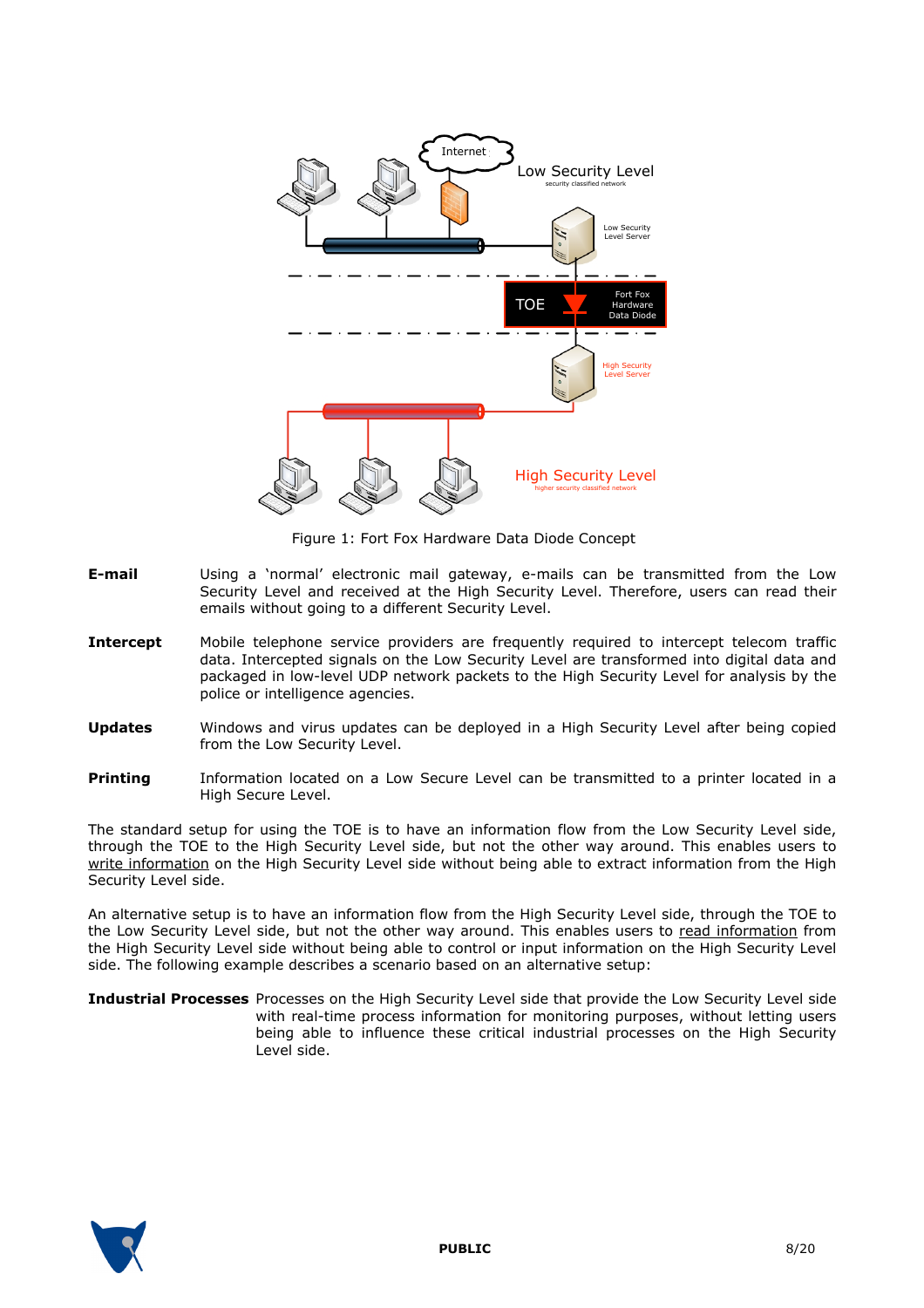

Figure 1: Fort Fox Hardware Data Diode Concept

- **E-mail** Using a 'normal' electronic mail gateway, e-mails can be transmitted from the Low Security Level and received at the High Security Level. Therefore, users can read their emails without going to a different Security Level.
- **Intercept** Mobile telephone service providers are frequently required to intercept telecom traffic data. Intercepted signals on the Low Security Level are transformed into digital data and packaged in low-level UDP network packets to the High Security Level for analysis by the police or intelligence agencies.
- **Updates** Windows and virus updates can be deployed in a High Security Level after being copied from the Low Security Level.
- **Printing** Information located on a Low Secure Level can be transmitted to a printer located in a High Secure Level.

The standard setup for using the TOE is to have an information flow from the Low Security Level side, through the TOE to the High Security Level side, but not the other way around. This enables users to write information on the High Security Level side without being able to extract information from the High Security Level side.

An alternative setup is to have an information flow from the High Security Level side, through the TOE to the Low Security Level side, but not the other way around. This enables users to read information from the High Security Level side without being able to control or input information on the High Security Level side. The following example describes a scenario based on an alternative setup:

**Industrial Processes** Processes on the High Security Level side that provide the Low Security Level side with real-time process information for monitoring purposes, without letting users being able to influence these critical industrial processes on the High Security Level side.

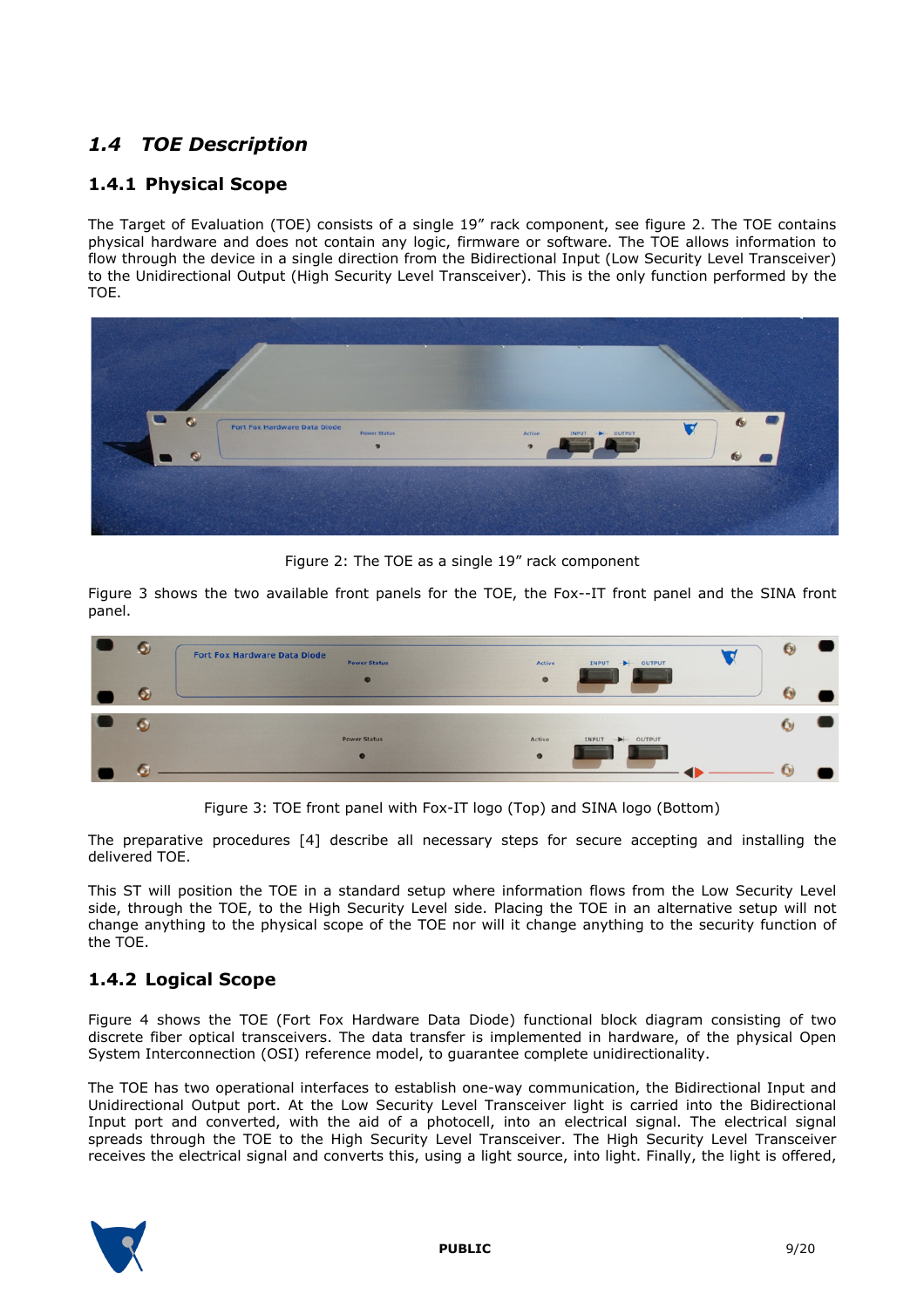### *1.4 TOE Description*

#### **1.4.1 Physical Scope**

The Target of Evaluation (TOE) consists of a single 19" rack component, see figure 2. The TOE contains physical hardware and does not contain any logic, firmware or software. The TOE allows information to flow through the device in a single direction from the Bidirectional Input (Low Security Level Transceiver) to the Unidirectional Output (High Security Level Transceiver). This is the only function performed by the TOE.



Figure 2: The TOE as a single 19" rack component

Figure 3 shows the two available front panels for the TOE, the Fox--IT front panel and the SINA front panel.

| $\bullet$ | <b>Fort Fox Hardware Data Diode</b><br><b>Power Status</b> | <b>I</b> OUTPUT<br>INPUT<br>Active | $\bullet$ |  |
|-----------|------------------------------------------------------------|------------------------------------|-----------|--|
| $\bullet$ | $\bullet$                                                  | $\bullet$                          | $\bullet$ |  |
| 0         | <b>Power Status</b>                                        | INPUT + OUTPUT<br>Active           |           |  |
|           |                                                            | $\bullet$                          |           |  |

Figure 3: TOE front panel with Fox-IT logo (Top) and SINA logo (Bottom)

The preparative procedures [4] describe all necessary steps for secure accepting and installing the delivered TOE.

This ST will position the TOE in a standard setup where information flows from the Low Security Level side, through the TOE, to the High Security Level side. Placing the TOE in an alternative setup will not change anything to the physical scope of the TOE nor will it change anything to the security function of the TOE.

#### **1.4.2 Logical Scope**

Figure 4 shows the TOE (Fort Fox Hardware Data Diode) functional block diagram consisting of two discrete fiber optical transceivers. The data transfer is implemented in hardware, of the physical Open System Interconnection (OSI) reference model, to guarantee complete unidirectionality.

The TOE has two operational interfaces to establish one-way communication, the Bidirectional Input and Unidirectional Output port. At the Low Security Level Transceiver light is carried into the Bidirectional Input port and converted, with the aid of a photocell, into an electrical signal. The electrical signal spreads through the TOE to the High Security Level Transceiver. The High Security Level Transceiver receives the electrical signal and converts this, using a light source, into light. Finally, the light is offered,

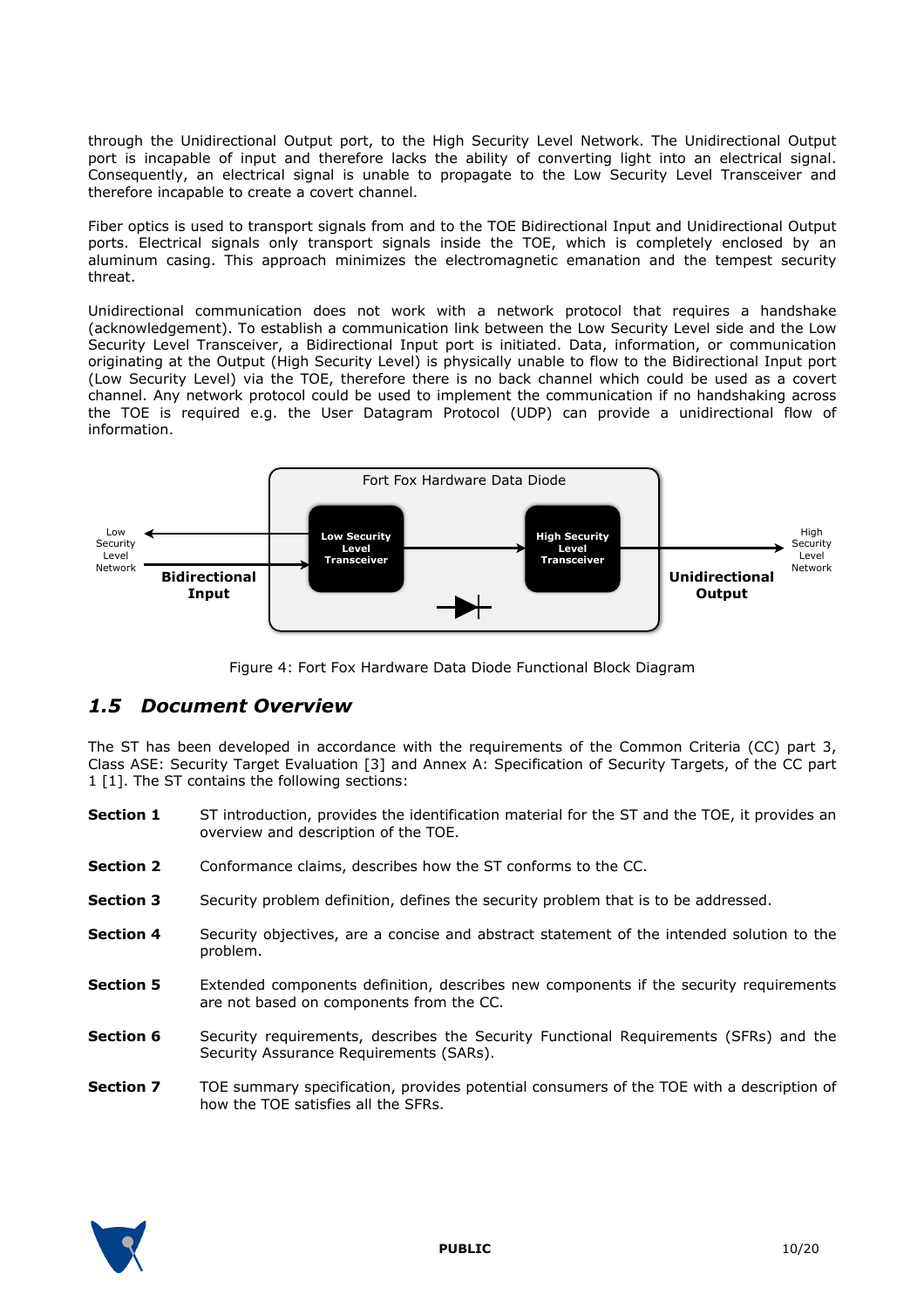through the Unidirectional Output port, to the High Security Level Network. The Unidirectional Output port is incapable of input and therefore lacks the ability of converting light into an electrical signal. Consequently, an electrical signal is unable to propagate to the Low Security Level Transceiver and therefore incapable to create a covert channel.

Fiber optics is used to transport signals from and to the TOE Bidirectional Input and Unidirectional Output ports. Electrical signals only transport signals inside the TOE, which is completely enclosed by an aluminum casing. This approach minimizes the electromagnetic emanation and the tempest security threat.

Unidirectional communication does not work with a network protocol that requires a handshake (acknowledgement). To establish a communication link between the Low Security Level side and the Low Security Level Transceiver, a Bidirectional Input port is initiated. Data, information, or communication originating at the Output (High Security Level) is physically unable to flow to the Bidirectional Input port (Low Security Level) via the TOE, therefore there is no back channel which could be used as a covert channel. Any network protocol could be used to implement the communication if no handshaking across the TOE is required e.g. the User Datagram Protocol (UDP) can provide a unidirectional flow of information.



Figure 4: Fort Fox Hardware Data Diode Functional Block Diagram

### *1.5 Document Overview*

The ST has been developed in accordance with the requirements of the Common Criteria (CC) part 3, Class ASE: Security Target Evaluation [3] and Annex A: Specification of Security Targets, of the CC part 1 [1]. The ST contains the following sections:

- **Section 1** ST introduction, provides the identification material for the ST and the TOE, it provides an overview and description of the TOE.
- **Section 2** Conformance claims, describes how the ST conforms to the CC.
- **Section 3** Security problem definition, defines the security problem that is to be addressed.
- **Section 4** Security objectives, are a concise and abstract statement of the intended solution to the problem.
- **Section 5** Extended components definition, describes new components if the security requirements are not based on components from the CC.
- **Section 6** Security requirements, describes the Security Functional Requirements (SFRs) and the Security Assurance Requirements (SARs).
- **Section 7** TOE summary specification, provides potential consumers of the TOE with a description of how the TOE satisfies all the SFRs.

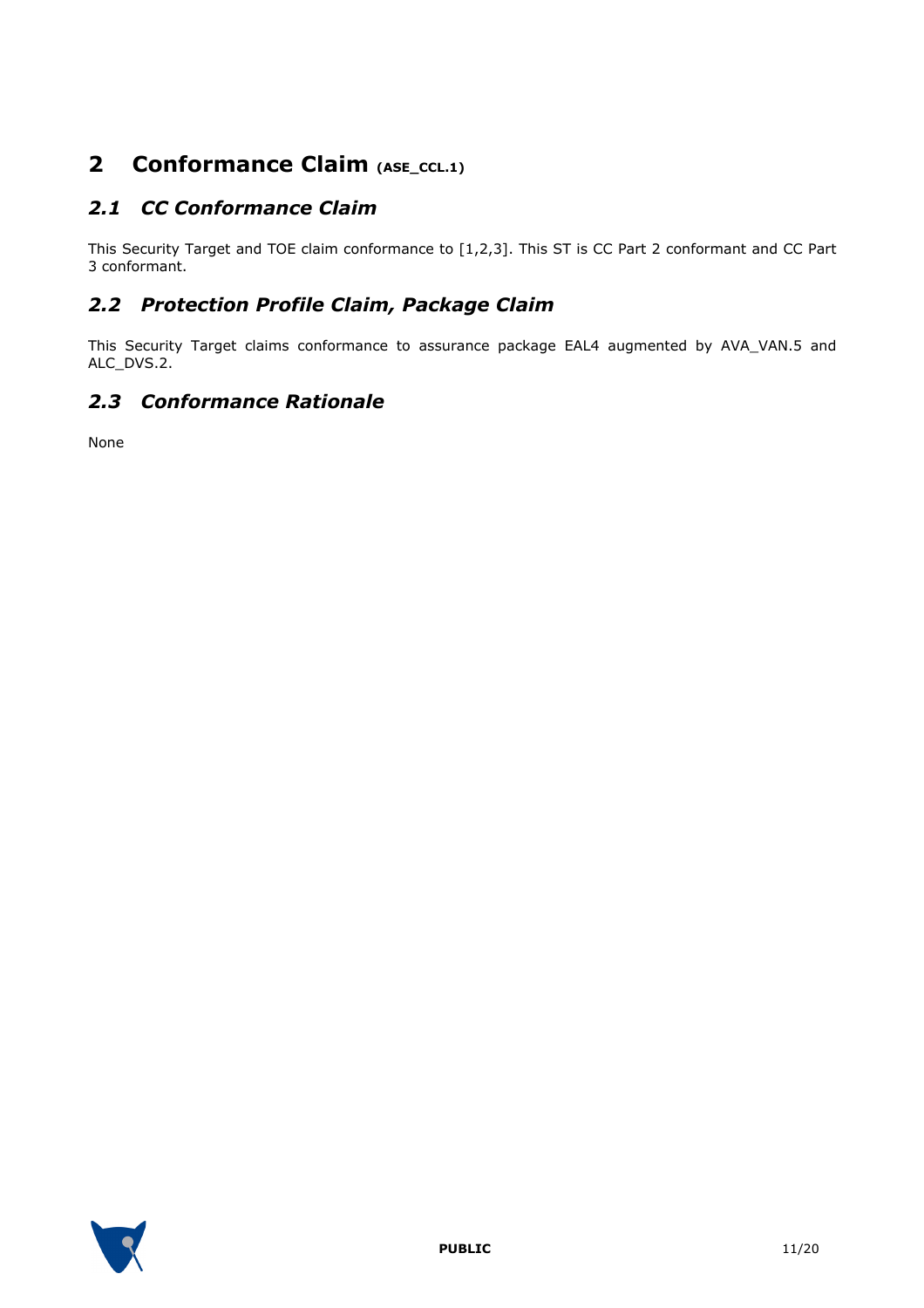### **2 Conformance Claim** (ASE\_CCL.1)

### *2.1 CC Conformance Claim*

This Security Target and TOE claim conformance to [1,2,3]. This ST is CC Part 2 conformant and CC Part 3 conformant.

### *2.2 Protection Profile Claim, Package Claim*

This Security Target claims conformance to assurance package EAL4 augmented by AVA\_VAN.5 and ALC\_DVS.2.

#### *2.3 Conformance Rationale*

None

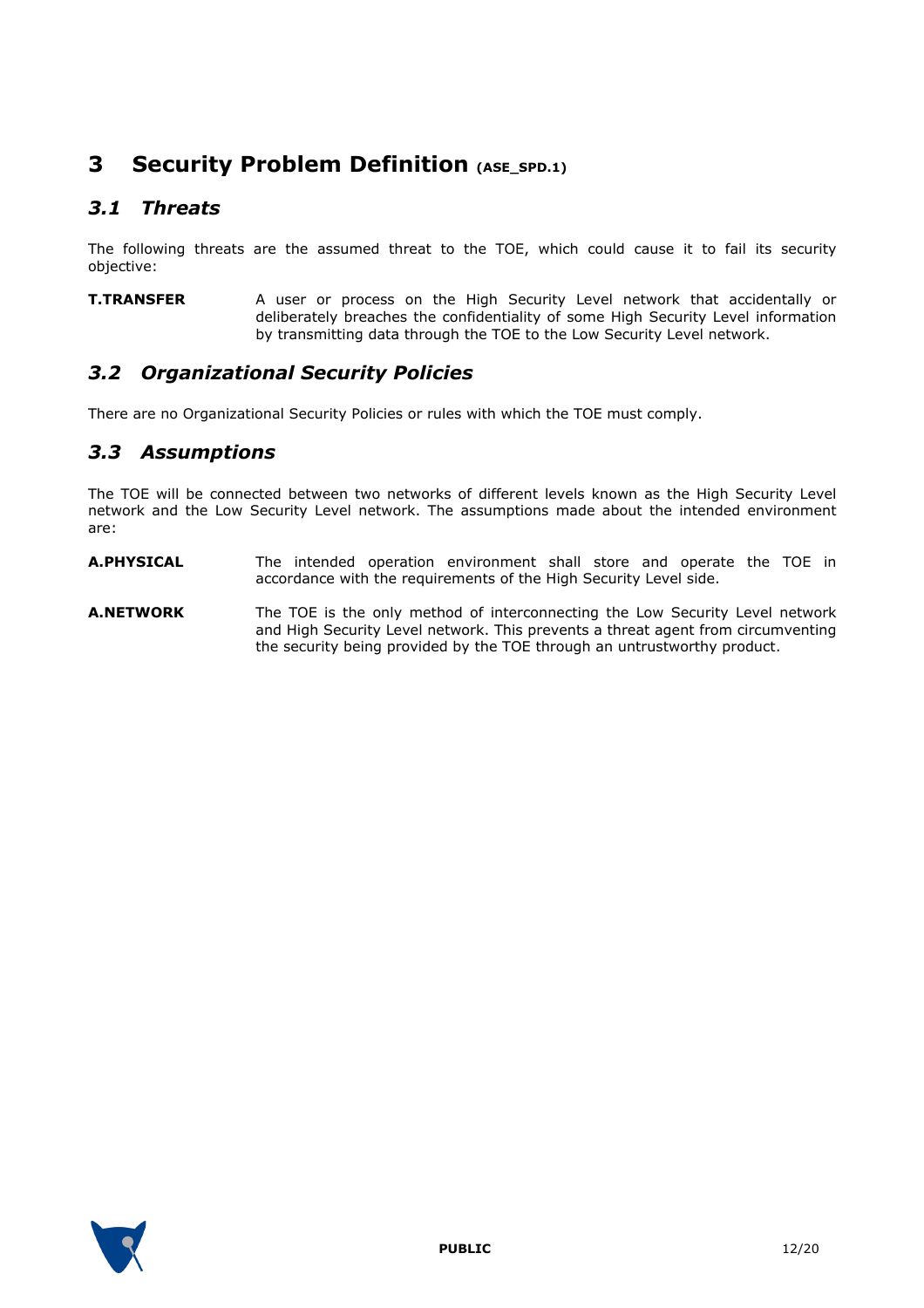### **3 Security Problem Definition** (ASE SPD.1)

### *3.1 Threats*

The following threats are the assumed threat to the TOE, which could cause it to fail its security objective:

**T.TRANSFER** A user or process on the High Security Level network that accidentally or deliberately breaches the confidentiality of some High Security Level information by transmitting data through the TOE to the Low Security Level network.

### *3.2 Organizational Security Policies*

There are no Organizational Security Policies or rules with which the TOE must comply.

#### *3.3 Assumptions*

The TOE will be connected between two networks of different levels known as the High Security Level network and the Low Security Level network. The assumptions made about the intended environment are:

- **A.PHYSICAL** The intended operation environment shall store and operate the TOE in accordance with the requirements of the High Security Level side.
- **A.NETWORK** The TOE is the only method of interconnecting the Low Security Level network and High Security Level network. This prevents a threat agent from circumventing the security being provided by the TOE through an untrustworthy product.

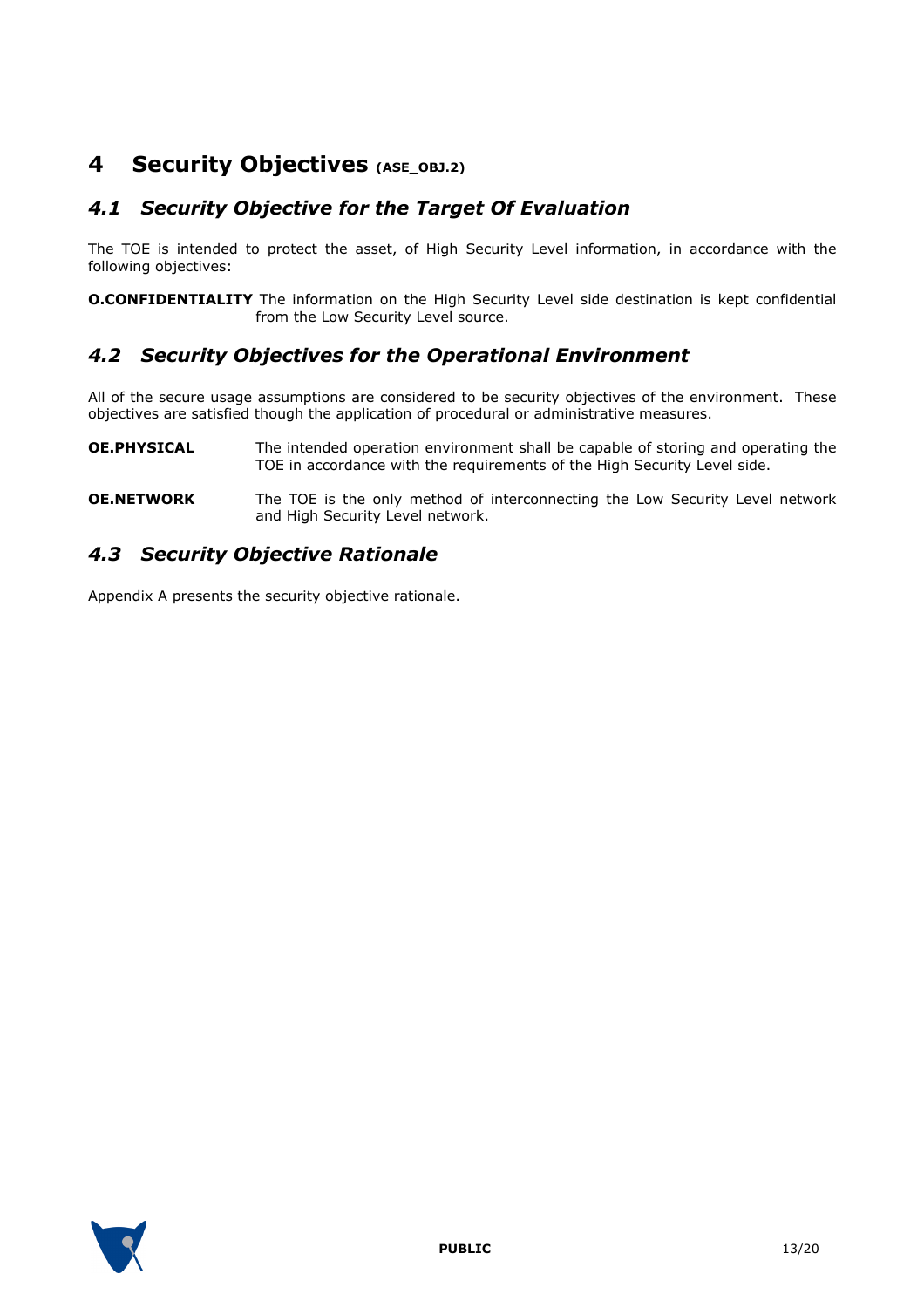### **4 Security Objectives (ASE\_OBJ.2)**

### *4.1 Security Objective for the Target Of Evaluation*

The TOE is intended to protect the asset, of High Security Level information, in accordance with the following objectives:

**O.CONFIDENTIALITY** The information on the High Security Level side destination is kept confidential from the Low Security Level source.

### *4.2 Security Objectives for the Operational Environment*

All of the secure usage assumptions are considered to be security objectives of the environment. These objectives are satisfied though the application of procedural or administrative measures.

**OE.PHYSICAL** The intended operation environment shall be capable of storing and operating the TOE in accordance with the requirements of the High Security Level side.

**OE.NETWORK** The TOE is the only method of interconnecting the Low Security Level network and High Security Level network.

### *4.3 Security Objective Rationale*

Appendix A presents the security objective rationale.

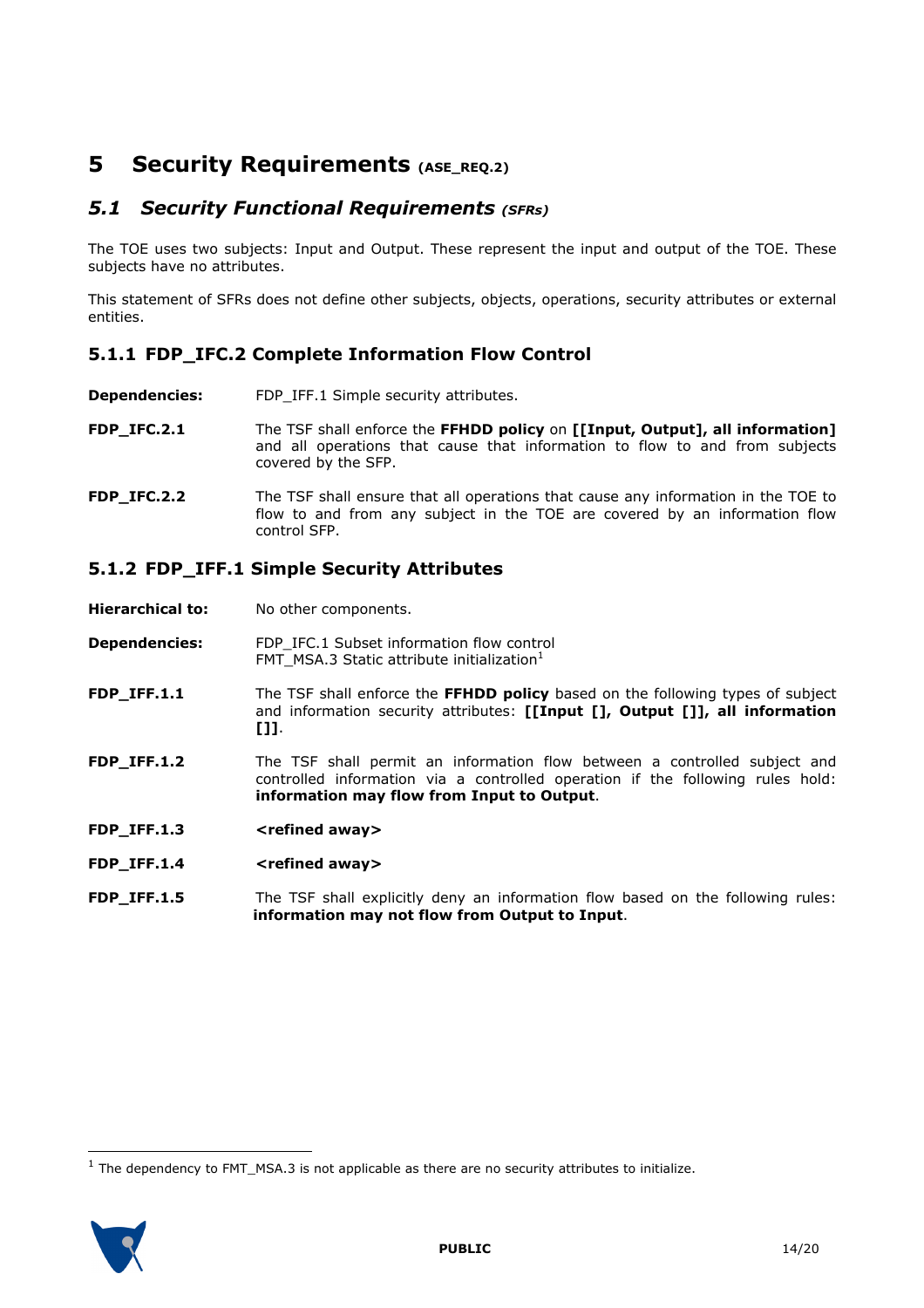### **5 Security Requirements** (ASE REQ.2)

### *5.1 Security Functional Requirements (SFRs)*

The TOE uses two subjects: Input and Output. These represent the input and output of the TOE. These subjects have no attributes.

This statement of SFRs does not define other subjects, objects, operations, security attributes or external entities.

#### **5.1.1 FDP\_IFC.2 Complete Information Flow Control**

- **Dependencies:** FDP\_IFF.1 Simple security attributes.
- **FDP\_IFC.2.1** The TSF shall enforce the **FFHDD policy** on **[[Input, Output], all information]** and all operations that cause that information to flow to and from subjects covered by the SFP.
- **FDP\_IFC.2.2** The TSF shall ensure that all operations that cause any information in the TOE to flow to and from any subject in the TOE are covered by an information flow control SFP.

#### **5.1.2 FDP\_IFF.1 Simple Security Attributes**

**Hierarchical to:** No other components.

**Dependencies:** FDP IFC.1 Subset information flow control  $FMT\_MSA.3$  Static attribute initialization<sup>1</sup>

- **FDP IFF.1.1** The TSF shall enforce the **FFHDD policy** based on the following types of subject and information security attributes: **[[Input [], Output []], all information []]**.
- **FDP\_IFF.1.2** The TSF shall permit an information flow between a controlled subject and controlled information via a controlled operation if the following rules hold: **information may flow from Input to Output**.
- **FDP** IFF.1.3 <*refined away>*
- **FDP\_IFF.1.4 <refined away>**
- **FDP IFF.1.5** The TSF shall explicitly deny an information flow based on the following rules: **information may not flow from Output to Input**.

 $1$  The dependency to FMT\_MSA.3 is not applicable as there are no security attributes to initialize.

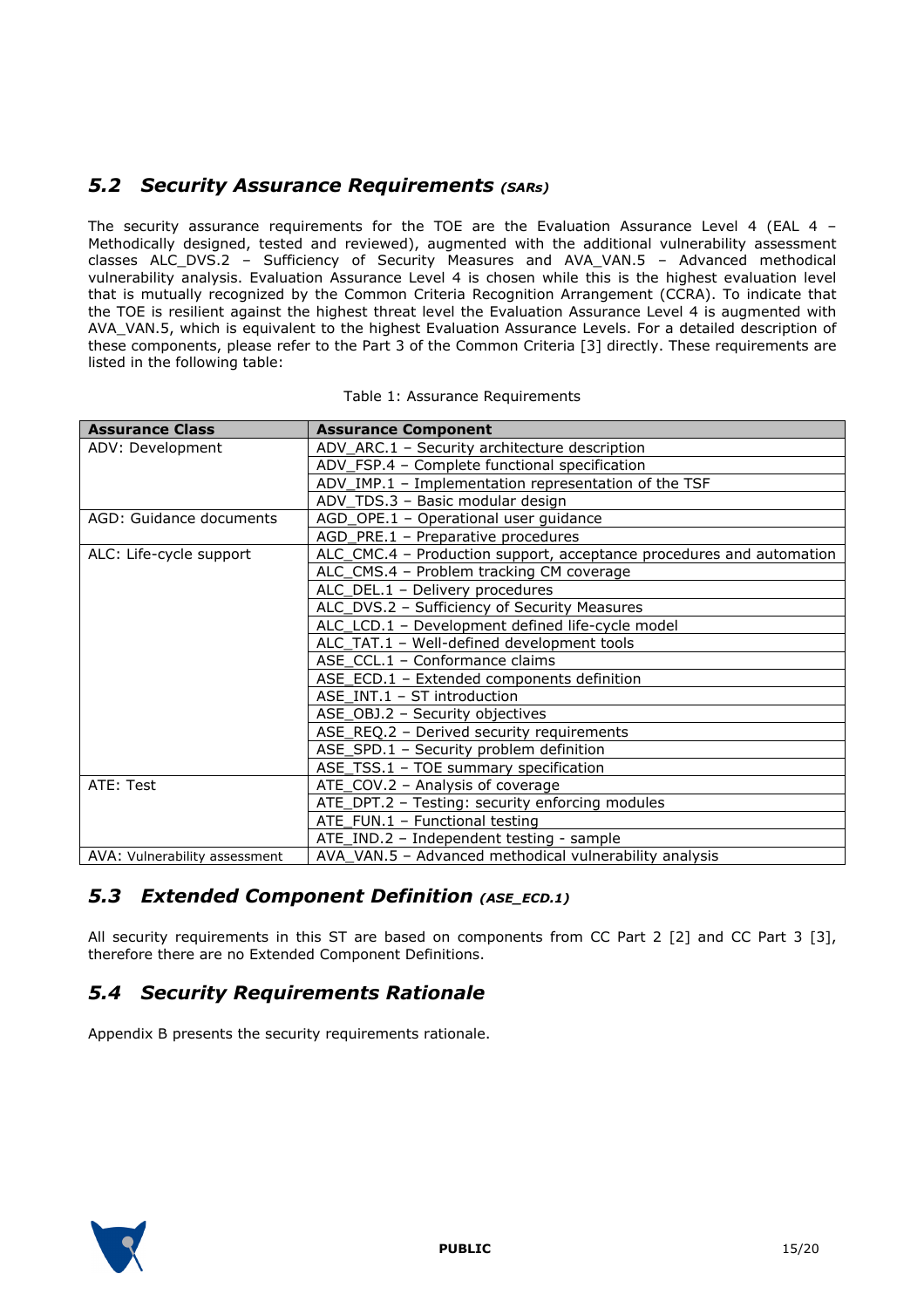### *5.2 Security Assurance Requirements (SARs)*

The security assurance requirements for the TOE are the Evaluation Assurance Level 4 (EAL 4 – Methodically designed, tested and reviewed), augmented with the additional vulnerability assessment classes ALC\_DVS.2 – Sufficiency of Security Measures and AVA\_VAN.5 – Advanced methodical vulnerability analysis. Evaluation Assurance Level 4 is chosen while this is the highest evaluation level that is mutually recognized by the Common Criteria Recognition Arrangement (CCRA). To indicate that the TOE is resilient against the highest threat level the Evaluation Assurance Level 4 is augmented with AVA\_VAN.5, which is equivalent to the highest Evaluation Assurance Levels. For a detailed description of these components, please refer to the Part 3 of the Common Criteria [3] directly. These requirements are listed in the following table:

| <b>Assurance Class</b>        | <b>Assurance Component</b>                                           |
|-------------------------------|----------------------------------------------------------------------|
| ADV: Development              | ADV_ARC.1 - Security architecture description                        |
|                               | ADV_FSP.4 - Complete functional specification                        |
|                               | ADV_IMP.1 - Implementation representation of the TSF                 |
|                               | ADV TDS.3 - Basic modular design                                     |
| AGD: Guidance documents       | AGD_OPE.1 - Operational user guidance                                |
|                               | AGD_PRE.1 - Preparative procedures                                   |
| ALC: Life-cycle support       | ALC_CMC.4 - Production support, acceptance procedures and automation |
|                               | ALC CMS.4 - Problem tracking CM coverage                             |
|                               | ALC_DEL.1 - Delivery procedures                                      |
|                               | ALC_DVS.2 - Sufficiency of Security Measures                         |
|                               | ALC_LCD.1 - Development defined life-cycle model                     |
|                               | ALC_TAT.1 - Well-defined development tools                           |
|                               | ASE CCL.1 - Conformance claims                                       |
|                               | ASE_ECD.1 - Extended components definition                           |
|                               | ASE INT.1 - ST introduction                                          |
|                               | ASE_OBJ.2 - Security objectives                                      |
|                               | ASE_REQ.2 - Derived security requirements                            |
|                               | ASE_SPD.1 - Security problem definition                              |
|                               | ASE_TSS.1 - TOE summary specification                                |
| ATE: Test                     | ATE_COV.2 - Analysis of coverage                                     |
|                               | ATE_DPT.2 - Testing: security enforcing modules                      |
|                               | ATE FUN.1 - Functional testing                                       |
|                               | ATE_IND.2 - Independent testing - sample                             |
| AVA: Vulnerability assessment | AVA_VAN.5 - Advanced methodical vulnerability analysis               |

| Table 1: Assurance Requirements |
|---------------------------------|
|                                 |

### *5.3 Extended Component Definition (ASE\_ECD.1)*

All security requirements in this ST are based on components from CC Part 2 [2] and CC Part 3 [3], therefore there are no Extended Component Definitions.

### *5.4 Security Requirements Rationale*

Appendix B presents the security requirements rationale.

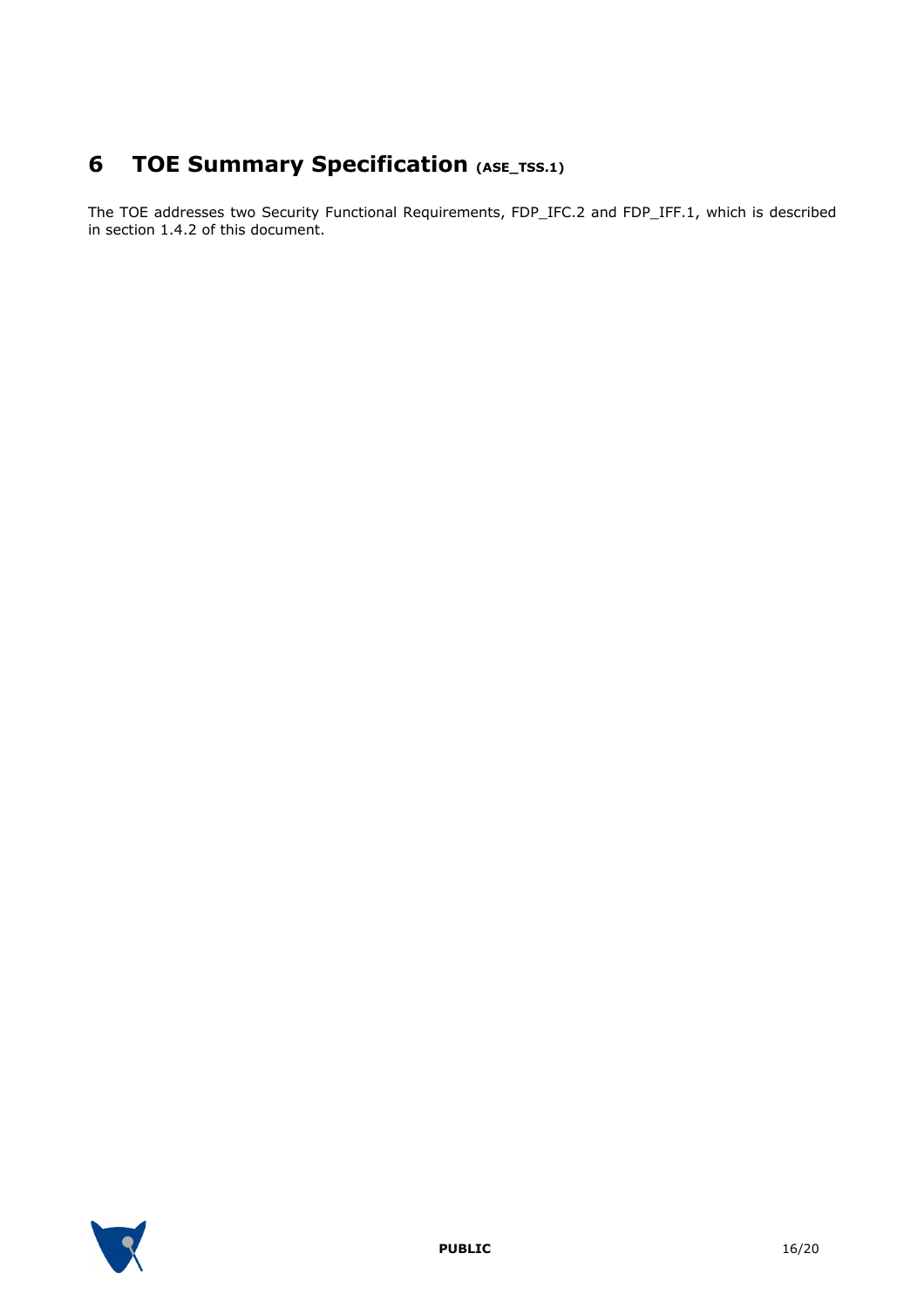# **6 TOE Summary Specification** (ASE\_TSS.1)

The TOE addresses two Security Functional Requirements, FDP\_IFC.2 and FDP\_IFF.1, which is described in section 1.4.2 of this document.

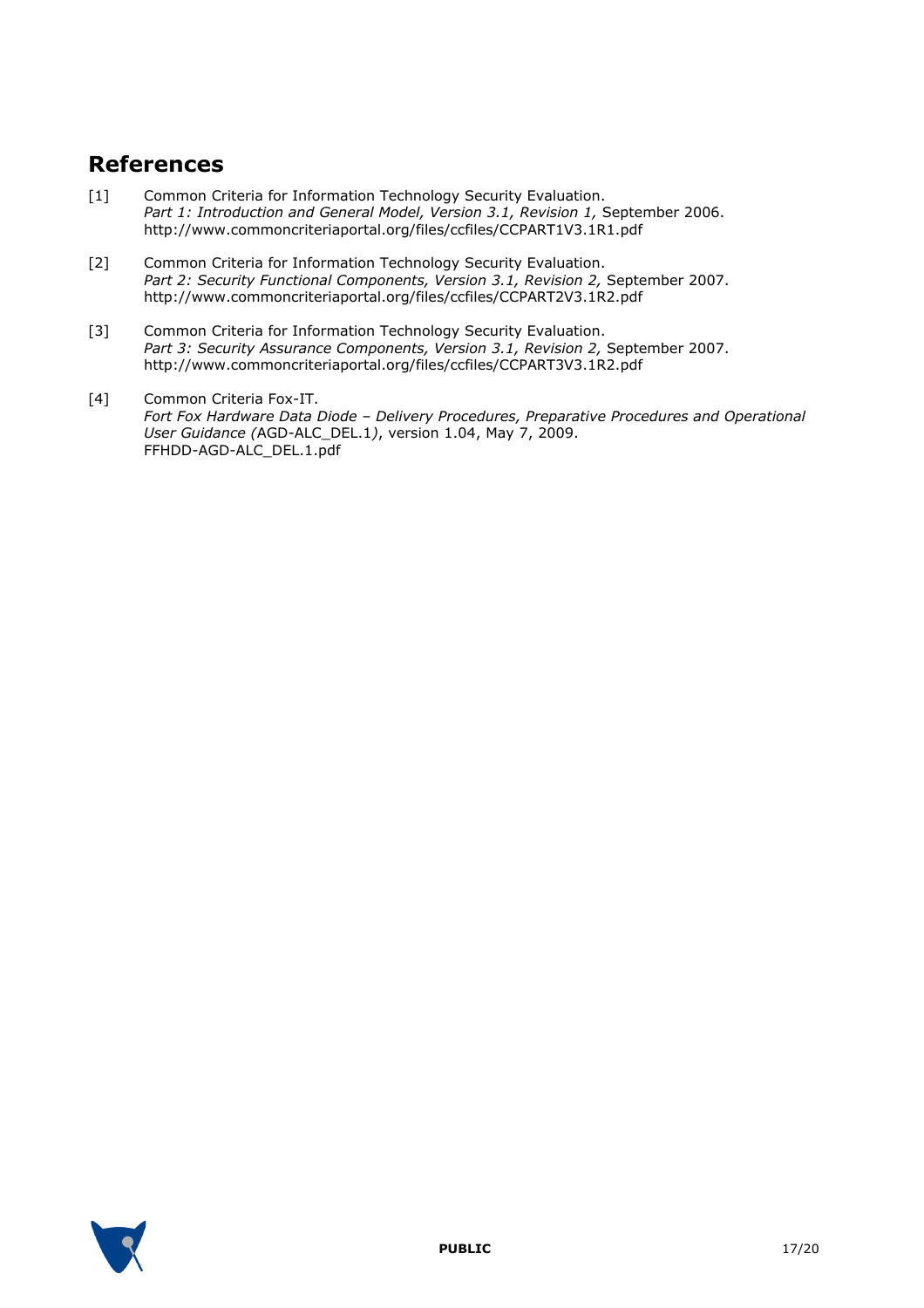### **References**

- [1] Common Criteria for Information Technology Security Evaluation. Part 1: Introduction and General Model, Version 3.1, Revision 1, September 2006. http://www.commoncriteriaportal.org/files/ccfiles/CCPART1V3.1R1.pdf
- [2] Common Criteria for Information Technology Security Evaluation. Part 2: Security Functional Components, Version 3.1, Revision 2, September 2007. http://www.commoncriteriaportal.org/files/ccfiles/CCPART2V3.1R2.pdf
- [3] Common Criteria for Information Technology Security Evaluation. Part 3: Security Assurance Components, Version 3.1, Revision 2, September 2007. http://www.commoncriteriaportal.org/files/ccfiles/CCPART3V3.1R2.pdf
- [4] Common Criteria Fox-IT. *Fort Fox Hardware Data Diode – Delivery Procedures, Preparative Procedures and Operational User Guidance (*AGD-ALC\_DEL.1*)*, version 1.04, May 7, 2009. FFHDD-AGD-ALC\_DEL.1.pdf

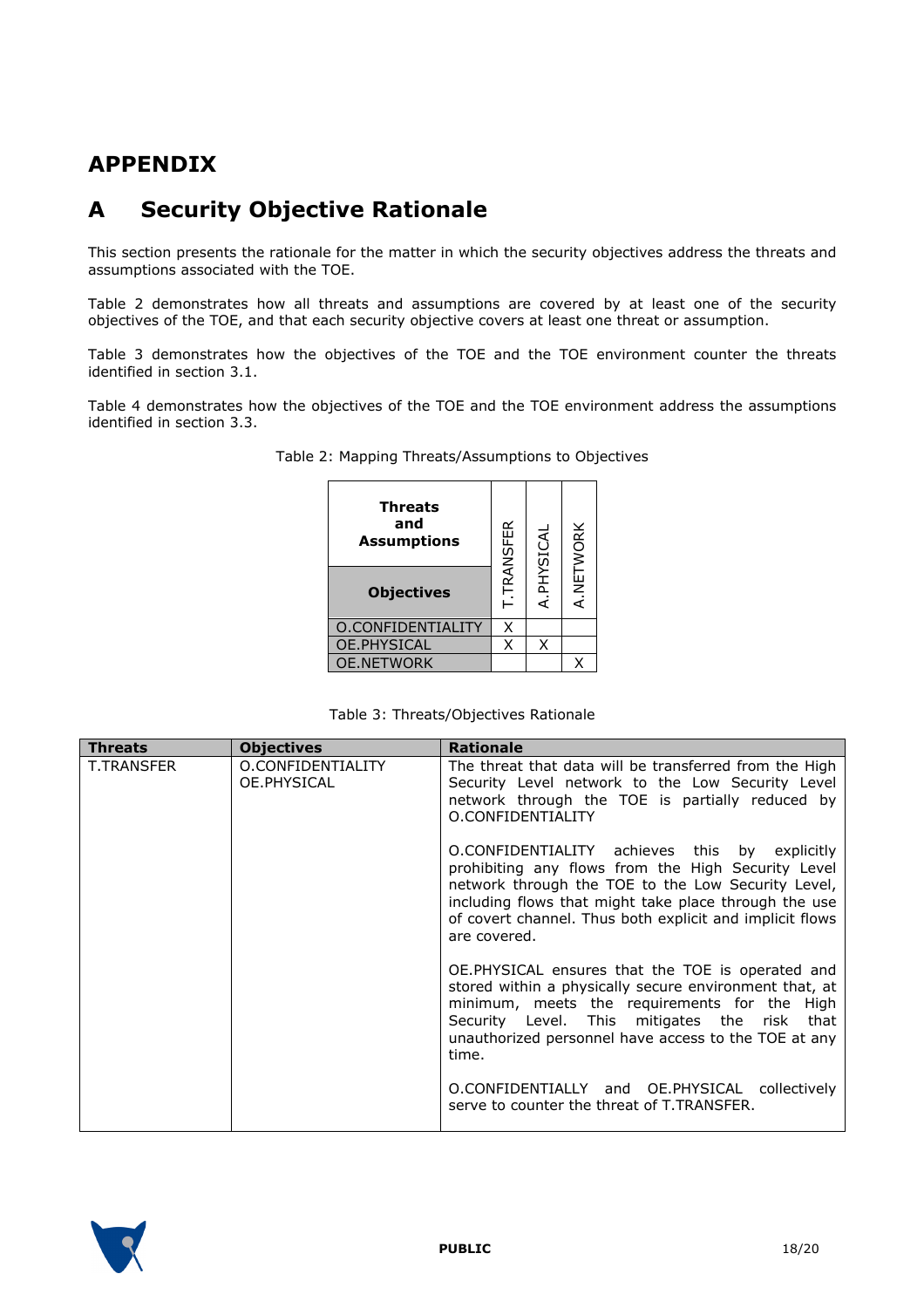# **APPENDIX**

# **A Security Objective Rationale**

This section presents the rationale for the matter in which the security objectives address the threats and assumptions associated with the TOE.

Table 2 demonstrates how all threats and assumptions are covered by at least one of the security objectives of the TOE, and that each security objective covers at least one threat or assumption.

Table 3 demonstrates how the objectives of the TOE and the TOE environment counter the threats identified in section 3.1.

Table 4 demonstrates how the objectives of the TOE and the TOE environment address the assumptions identified in section 3.3.

| <b>Threats</b><br>and<br><b>Assumptions</b> | T.TRANSFER | A.PHYSICAL | A.NETWORK |
|---------------------------------------------|------------|------------|-----------|
| <b>Objectives</b>                           |            |            |           |
| O.CONFIDENTIALITY                           | Χ          |            |           |
| <b>OE.PHYSICAL</b>                          | X          | X          |           |
| <b>OE.NETWORK</b>                           |            |            |           |

|  | Table 2: Mapping Threats/Assumptions to Objectives |  |
|--|----------------------------------------------------|--|
|--|----------------------------------------------------|--|

|  |  | Table 3: Threats/Objectives Rationale |  |
|--|--|---------------------------------------|--|
|--|--|---------------------------------------|--|

| <b>Threats</b>    | <b>Objectives</b>                | <b>Rationale</b>                                                                                                                                                                                                                                                                               |
|-------------------|----------------------------------|------------------------------------------------------------------------------------------------------------------------------------------------------------------------------------------------------------------------------------------------------------------------------------------------|
| <b>T.TRANSFER</b> | O.CONFIDENTIALITY<br>OE.PHYSICAL | The threat that data will be transferred from the High<br>Security Level network to the Low Security Level<br>network through the TOE is partially reduced by<br>O.CONFIDENTIALITY                                                                                                             |
|                   |                                  | O.CONFIDENTIALITY achieves this by explicitly<br>prohibiting any flows from the High Security Level<br>network through the TOE to the Low Security Level,<br>including flows that might take place through the use<br>of covert channel. Thus both explicit and implicit flows<br>are covered. |
|                   |                                  | OE.PHYSICAL ensures that the TOE is operated and<br>stored within a physically secure environment that, at<br>minimum, meets the requirements for the High<br>Security Level. This mitigates the risk that<br>unauthorized personnel have access to the TOE at any<br>time.                    |
|                   |                                  | O.CONFIDENTIALLY and OE.PHYSICAL collectively<br>serve to counter the threat of T.TRANSFER.                                                                                                                                                                                                    |

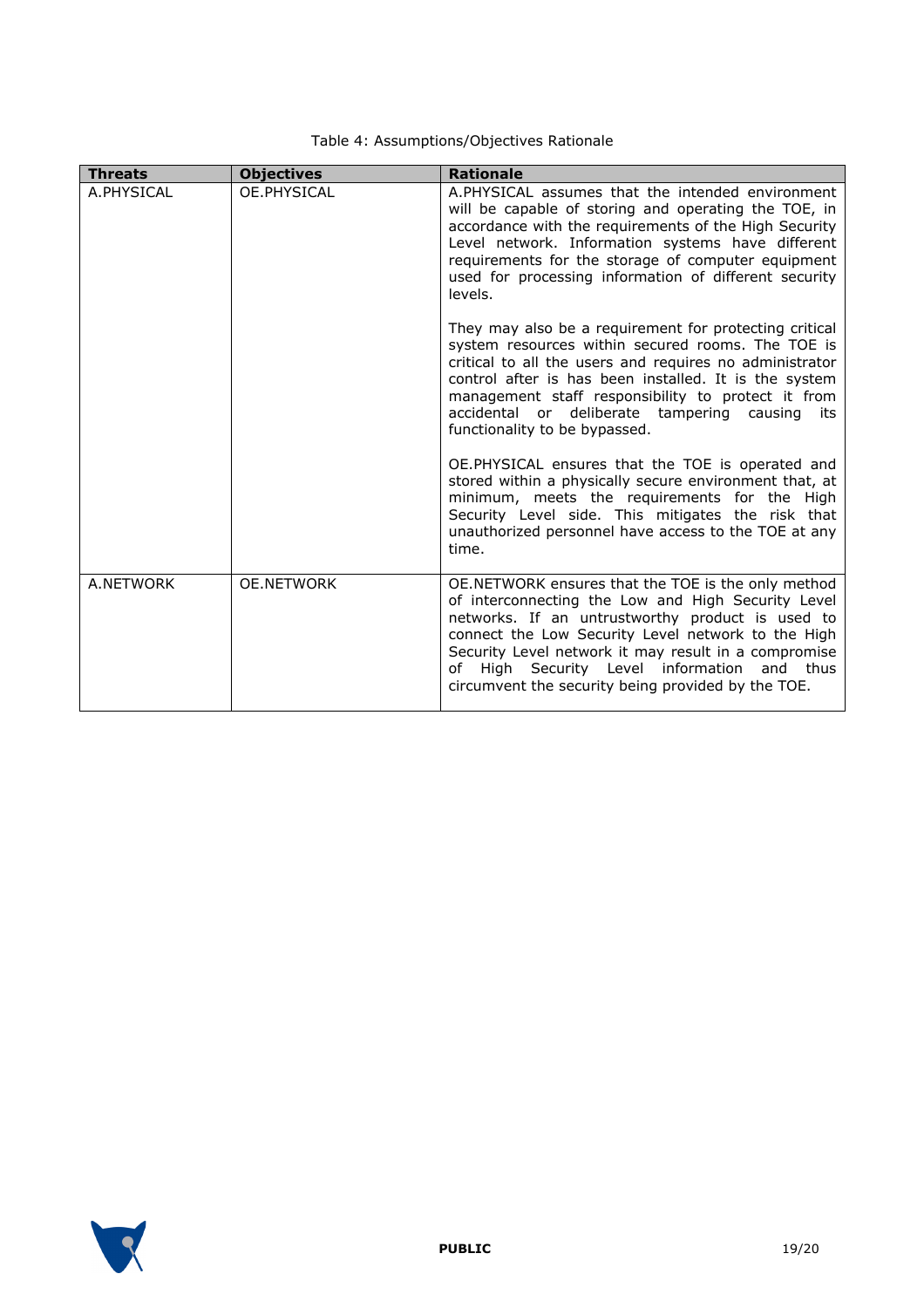| <b>Threats</b> | <b>Objectives</b> | <b>Rationale</b>                                                                                                                                                                                                                                                                                                                                                                    |
|----------------|-------------------|-------------------------------------------------------------------------------------------------------------------------------------------------------------------------------------------------------------------------------------------------------------------------------------------------------------------------------------------------------------------------------------|
| A.PHYSICAL     | OE.PHYSICAL       | A.PHYSICAL assumes that the intended environment<br>will be capable of storing and operating the TOE, in<br>accordance with the requirements of the High Security<br>Level network. Information systems have different<br>requirements for the storage of computer equipment<br>used for processing information of different security<br>levels.                                    |
|                |                   | They may also be a requirement for protecting critical<br>system resources within secured rooms. The TOE is<br>critical to all the users and requires no administrator<br>control after is has been installed. It is the system<br>management staff responsibility to protect it from<br>accidental or deliberate tampering<br>causing<br>its<br>functionality to be bypassed.      |
|                |                   | OE.PHYSICAL ensures that the TOE is operated and<br>stored within a physically secure environment that, at<br>minimum, meets the requirements for the High<br>Security Level side. This mitigates the risk that<br>unauthorized personnel have access to the TOE at any<br>time.                                                                                                    |
| A.NETWORK      | <b>OE.NETWORK</b> | OE. NETWORK ensures that the TOE is the only method<br>of interconnecting the Low and High Security Level<br>networks. If an untrustworthy product is used to<br>connect the Low Security Level network to the High<br>Security Level network it may result in a compromise<br>of High Security Level information<br>and thus<br>circumvent the security being provided by the TOE. |

#### Table 4: Assumptions/Objectives Rationale